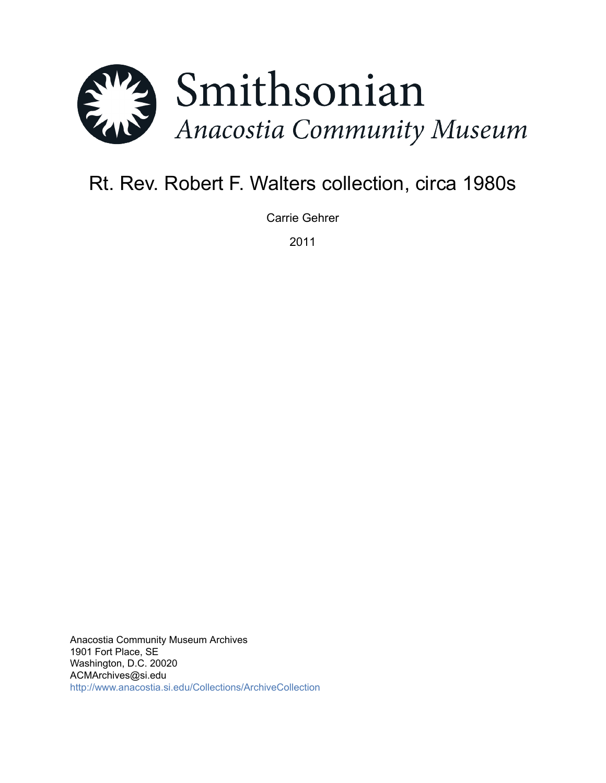

# Rt. Rev. Robert F. Walters collection, circa 1980s

Carrie Gehrer

2011

Anacostia Community Museum Archives 1901 Fort Place, SE Washington, D.C. 20020 ACMArchives@si.edu <http://www.anacostia.si.edu/Collections/ArchiveCollection>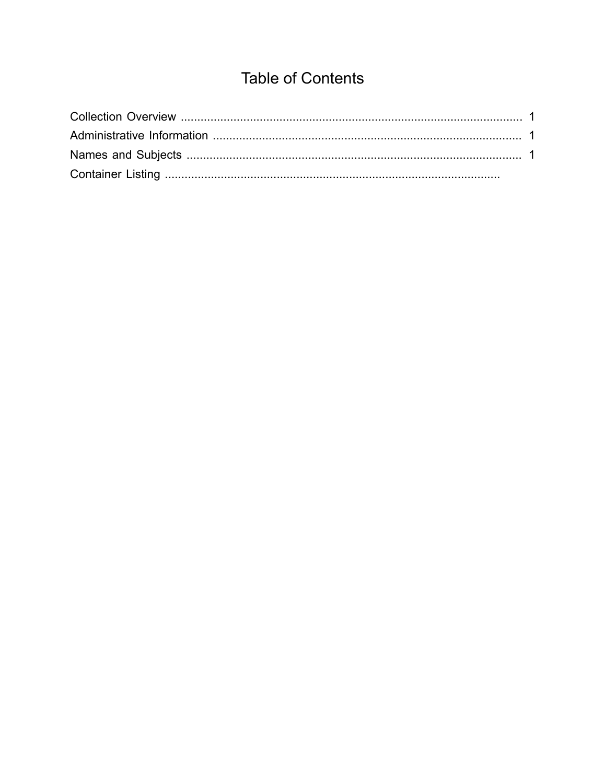## **Table of Contents**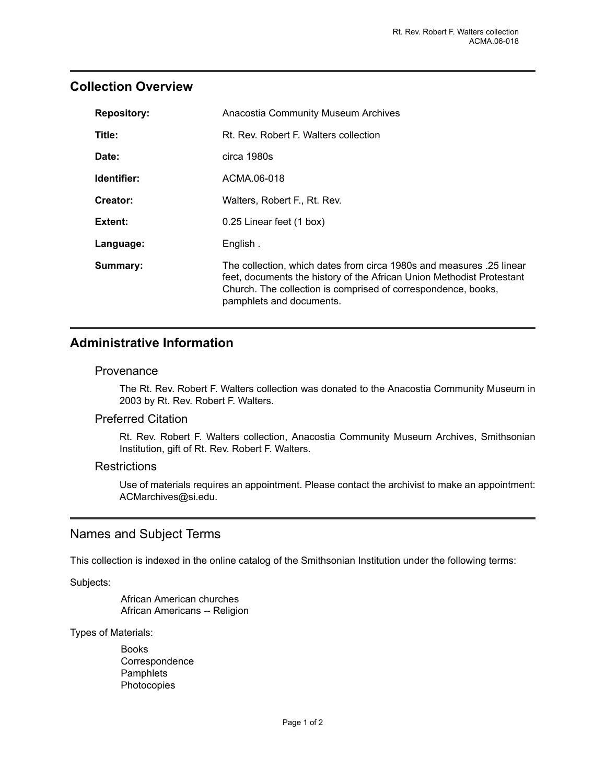## <span id="page-2-0"></span>**Collection Overview**

| <b>Repository:</b> | <b>Anacostia Community Museum Archives</b>                                                                                                                                                                                                 |
|--------------------|--------------------------------------------------------------------------------------------------------------------------------------------------------------------------------------------------------------------------------------------|
| Title:             | Rt. Rev. Robert F. Walters collection                                                                                                                                                                                                      |
| Date:              | circa 1980s                                                                                                                                                                                                                                |
| Identifier:        | ACMA.06-018                                                                                                                                                                                                                                |
| Creator:           | Walters, Robert F., Rt. Rev.                                                                                                                                                                                                               |
| Extent:            | 0.25 Linear feet (1 box)                                                                                                                                                                                                                   |
| Language:          | English.                                                                                                                                                                                                                                   |
| Summary:           | The collection, which dates from circa 1980s and measures .25 linear<br>feet, documents the history of the African Union Methodist Protestant<br>Church. The collection is comprised of correspondence, books,<br>pamphlets and documents. |

## <span id="page-2-1"></span>**Administrative Information**

#### Provenance

The Rt. Rev. Robert F. Walters collection was donated to the Anacostia Community Museum in 2003 by Rt. Rev. Robert F. Walters.

#### Preferred Citation

Rt. Rev. Robert F. Walters collection, Anacostia Community Museum Archives, Smithsonian Institution, gift of Rt. Rev. Robert F. Walters.

#### **Restrictions**

Use of materials requires an appointment. Please contact the archivist to make an appointment: ACMarchives@si.edu.

### <span id="page-2-2"></span>Names and Subject Terms

This collection is indexed in the online catalog of the Smithsonian Institution under the following terms:

Subjects:

African American churches African Americans -- Religion

Types of Materials:

Books Correspondence **Pamphlets** Photocopies